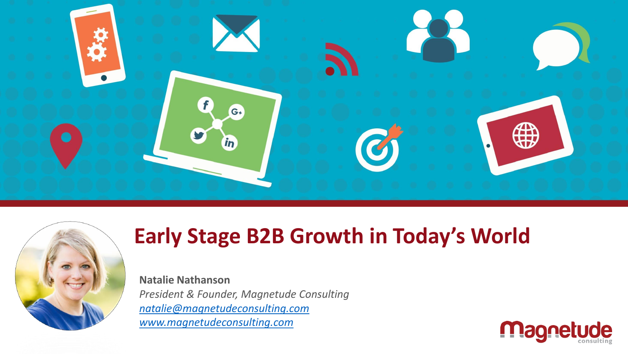



## **Early Stage B2B Growth in Today's World**

**Natalie Nathanson** *President & Founder, Magnetude Consulting [natalie@magnetudeconsulting.com](mailto:natalie@magnetudeconsulting.com) [www.magnetudeconsulting.com](http://www.magnetudeconsulting.com/)*

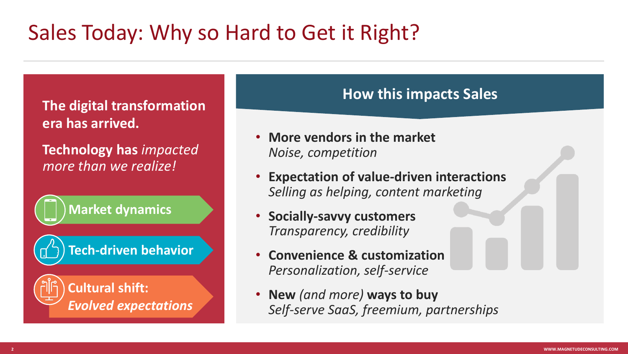# Sales Today: Why so Hard to Get it Right?

**The digital transformation era has arrived.** 

**Technology has** *impacted more than we realize!*

**Market dynamics**



**Tech-driven behavior**

#### **Cultural shift:**  *Evolved expectations*

#### **How this impacts Sales**

- **More vendors in the market** *Noise, competition*
- **Expectation of value-driven interactions** *Selling as helping, content marketing*
- **Socially-savvy customers** *Transparency, credibility*
- **Convenience & customization** *Personalization, self-service*
- **New** *(and more)* **ways to buy** *Self-serve SaaS, freemium, partnerships*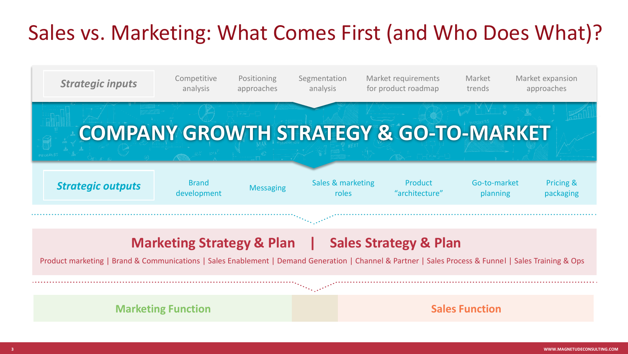## Sales vs. Marketing: What Comes First (and Who Does What)?

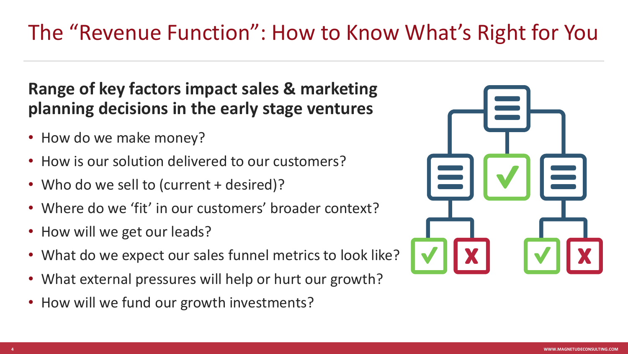#### **Range of key factors impact sales & marketing planning decisions in the early stage ventures**

- How do we make money?
- How is our solution delivered to our customers?
- Who do we sell to (current + desired)?
- Where do we 'fit' in our customers' broader context?
- How will we get our leads?
- What do we expect our sales funnel metrics to look like?
- What external pressures will help or hurt our growth?
- How will we fund our growth investments?

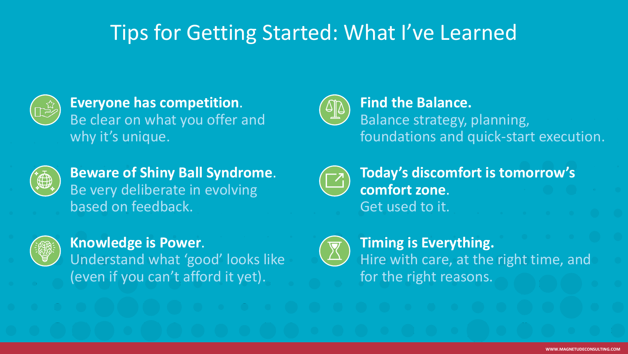### Tips for Getting Started: What I've Learned



**Everyone has competition**. Be clear on what you offer and why it's unique.



**Find the Balance.** Balance strategy, planning, foundations and quick-start execution.



**Beware of Shiny Ball Syndrome**. Be very deliberate in evolving based on feedback.



**Knowledge is Power**.

Understand what 'good' looks like (even if you can't afford it yet).



**Today's discomfort is tomorrow's comfort zone**. Get used to it.



**Timing is Everything.**  Hire with care, at the right time, and for the right reasons.